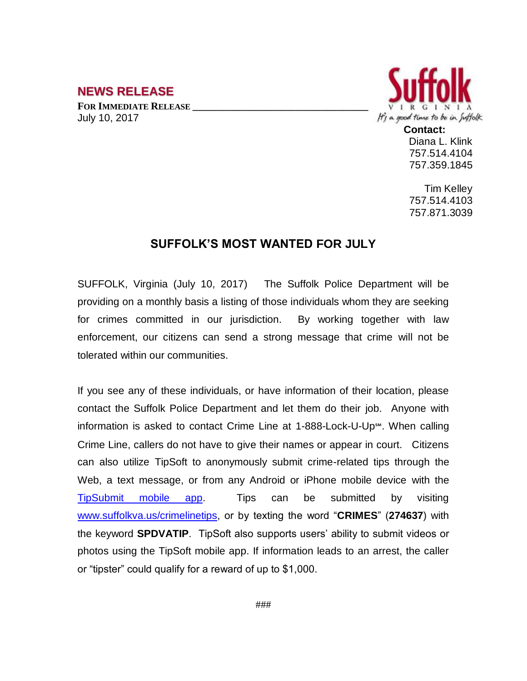## **NEWS RELEASE**

**FOR IMMEDIATE RELEASE \_\_\_\_\_\_\_\_\_\_\_\_\_\_\_\_\_\_\_\_\_\_\_\_\_\_\_\_\_\_\_\_\_\_** July 10, 2017



Diana L. Klink 757.514.4104 757.359.1845

Tim Kelley 757.514.4103 757.871.3039

## **SUFFOLK'S MOST WANTED FOR JULY**

SUFFOLK, Virginia (July 10, 2017) The Suffolk Police Department will be providing on a monthly basis a listing of those individuals whom they are seeking for crimes committed in our jurisdiction. By working together with law enforcement, our citizens can send a strong message that crime will not be tolerated within our communities.

If you see any of these individuals, or have information of their location, please contact the Suffolk Police Department and let them do their job. Anyone with information is asked to contact Crime Line at 1-888-Lock-U-Up℠. When calling Crime Line, callers do not have to give their names or appear in court. Citizens can also utilize TipSoft to anonymously submit crime-related tips through the Web, a text message, or from any Android or iPhone mobile device with the [TipSubmit mobile app.](http://www.tipsoft.com/index.asp?P=TipSubmitMobile) Tips can be submitted by visiting [www.suffolkva.us/crimelinetips,](http://www.suffolkva.us/crimelinetips) or by texting the word "**CRIMES**" (**274637**) with the keyword **SPDVATIP**. TipSoft also supports users' ability to submit videos or photos using the TipSoft mobile app. If information leads to an arrest, the caller or "tipster" could qualify for a reward of up to \$1,000.